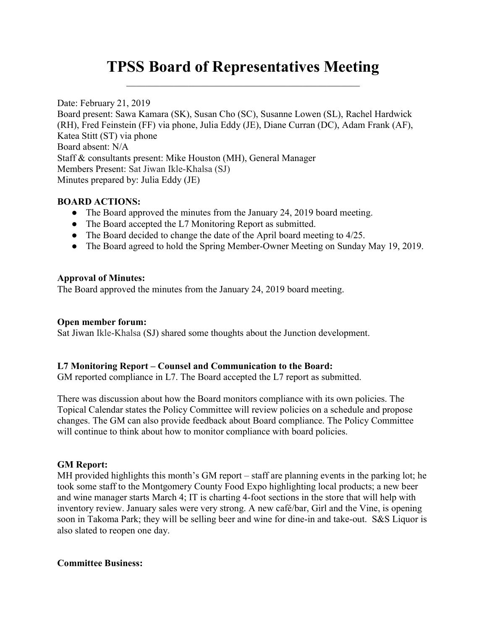# TPSS Board of Representatives Meeting

Date: February 21, 2019

Board present: Sawa Kamara (SK), Susan Cho (SC), Susanne Lowen (SL), Rachel Hardwick (RH), Fred Feinstein (FF) via phone, Julia Eddy (JE), Diane Curran (DC), Adam Frank (AF), Katea Stitt (ST) via phone Board absent: N/A Staff & consultants present: Mike Houston (MH), General Manager Members Present: Sat Jiwan Ikle-Khalsa (SJ) Minutes prepared by: Julia Eddy (JE)

### BOARD ACTIONS:

- The Board approved the minutes from the January 24, 2019 board meeting.
- The Board accepted the L7 Monitoring Report as submitted.
- The Board decided to change the date of the April board meeting to 4/25.
- The Board agreed to hold the Spring Member-Owner Meeting on Sunday May 19, 2019.

### Approval of Minutes:

The Board approved the minutes from the January 24, 2019 board meeting.

### Open member forum:

Sat Jiwan Ikle-Khalsa (SJ) shared some thoughts about the Junction development.

### L7 Monitoring Report – Counsel and Communication to the Board:

GM reported compliance in L7. The Board accepted the L7 report as submitted.

There was discussion about how the Board monitors compliance with its own policies. The Topical Calendar states the Policy Committee will review policies on a schedule and propose changes. The GM can also provide feedback about Board compliance. The Policy Committee will continue to think about how to monitor compliance with board policies.

### GM Report:

MH provided highlights this month's GM report – staff are planning events in the parking lot; he took some staff to the Montgomery County Food Expo highlighting local products; a new beer and wine manager starts March 4; IT is charting 4-foot sections in the store that will help with inventory review. January sales were very strong. A new café/bar, Girl and the Vine, is opening soon in Takoma Park; they will be selling beer and wine for dine-in and take-out. S&S Liquor is also slated to reopen one day.

### Committee Business: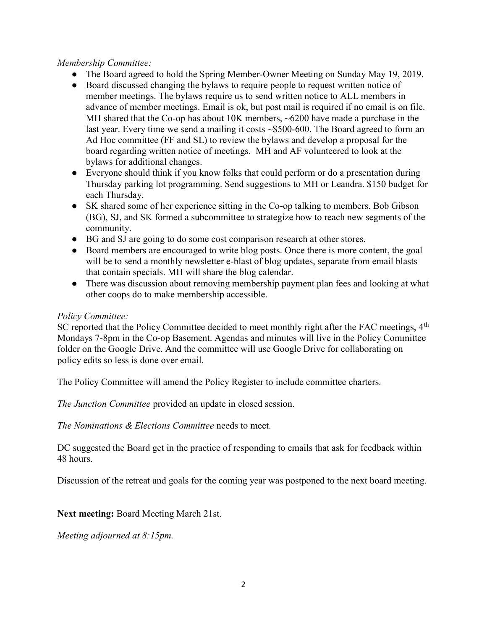# Membership Committee:

- The Board agreed to hold the Spring Member-Owner Meeting on Sunday May 19, 2019.
- Board discussed changing the bylaws to require people to request written notice of member meetings. The bylaws require us to send written notice to ALL members in advance of member meetings. Email is ok, but post mail is required if no email is on file. MH shared that the Co-op has about 10K members, ~6200 have made a purchase in the last year. Every time we send a mailing it costs ~\$500-600. The Board agreed to form an Ad Hoc committee (FF and SL) to review the bylaws and develop a proposal for the board regarding written notice of meetings. MH and AF volunteered to look at the bylaws for additional changes.
- Everyone should think if you know folks that could perform or do a presentation during Thursday parking lot programming. Send suggestions to MH or Leandra. \$150 budget for each Thursday.
- SK shared some of her experience sitting in the Co-op talking to members. Bob Gibson (BG), SJ, and SK formed a subcommittee to strategize how to reach new segments of the community.
- BG and SJ are going to do some cost comparison research at other stores.
- Board members are encouraged to write blog posts. Once there is more content, the goal will be to send a monthly newsletter e-blast of blog updates, separate from email blasts that contain specials. MH will share the blog calendar.
- There was discussion about removing membership payment plan fees and looking at what other coops do to make membership accessible.

### Policy Committee:

SC reported that the Policy Committee decided to meet monthly right after the FAC meetings,  $4<sup>th</sup>$ Mondays 7-8pm in the Co-op Basement. Agendas and minutes will live in the Policy Committee folder on the Google Drive. And the committee will use Google Drive for collaborating on policy edits so less is done over email.

The Policy Committee will amend the Policy Register to include committee charters.

The Junction Committee provided an update in closed session.

The Nominations & Elections Committee needs to meet.

DC suggested the Board get in the practice of responding to emails that ask for feedback within 48 hours.

Discussion of the retreat and goals for the coming year was postponed to the next board meeting.

Next meeting: Board Meeting March 21st.

Meeting adjourned at 8:15pm.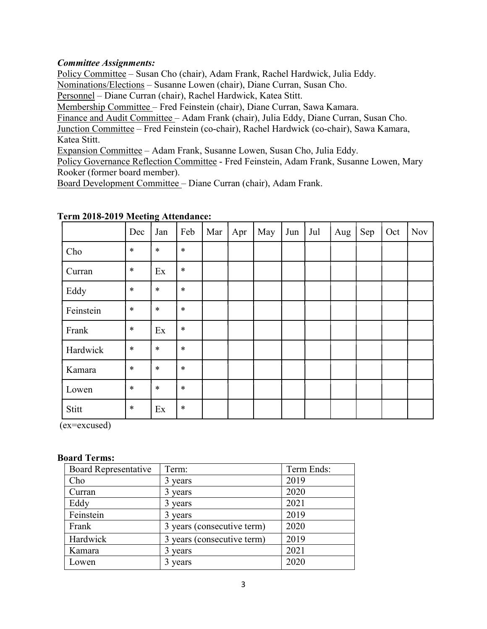# Committee Assignments:

Policy Committee – Susan Cho (chair), Adam Frank, Rachel Hardwick, Julia Eddy. Nominations/Elections – Susanne Lowen (chair), Diane Curran, Susan Cho.

Personnel – Diane Curran (chair), Rachel Hardwick, Katea Stitt.

Membership Committee – Fred Feinstein (chair), Diane Curran, Sawa Kamara.

Finance and Audit Committee – Adam Frank (chair), Julia Eddy, Diane Curran, Susan Cho.

Junction Committee – Fred Feinstein (co-chair), Rachel Hardwick (co-chair), Sawa Kamara, Katea Stitt.

Expansion Committee – Adam Frank, Susanne Lowen, Susan Cho, Julia Eddy.

Policy Governance Reflection Committee - Fred Feinstein, Adam Frank, Susanne Lowen, Mary Rooker (former board member).

Board Development Committee – Diane Curran (chair), Adam Frank.

|           | Dec    | Jan    | Feb    | Mar | Apr | May | Jun | Jul | Aug | Sep | Oct | <b>Nov</b> |
|-----------|--------|--------|--------|-----|-----|-----|-----|-----|-----|-----|-----|------------|
| Cho       | $\ast$ | $\ast$ | $\ast$ |     |     |     |     |     |     |     |     |            |
| Curran    | $\ast$ | Ex     | $\ast$ |     |     |     |     |     |     |     |     |            |
| Eddy      | $\ast$ | $\ast$ | $\ast$ |     |     |     |     |     |     |     |     |            |
| Feinstein | $\ast$ | $\ast$ | $\ast$ |     |     |     |     |     |     |     |     |            |
| Frank     | $\ast$ | Ex     | $\ast$ |     |     |     |     |     |     |     |     |            |
| Hardwick  | $\ast$ | $\ast$ | $\ast$ |     |     |     |     |     |     |     |     |            |
| Kamara    | $\ast$ | $\ast$ | $\ast$ |     |     |     |     |     |     |     |     |            |
| Lowen     | $\ast$ | $\ast$ | $\ast$ |     |     |     |     |     |     |     |     |            |
| Stitt     | $\ast$ | Ex     | $\ast$ |     |     |     |     |     |     |     |     |            |

### Term 2018-2019 Meeting Attendance:

(ex=excused)

#### Board Terms:

| Board Representative | Term:                      | Term Ends: |  |  |
|----------------------|----------------------------|------------|--|--|
| Cho                  | 3 years                    | 2019       |  |  |
| Curran               | 3 years                    | 2020       |  |  |
| Eddy                 | 3 years                    | 2021       |  |  |
| Feinstein            | 3 years                    | 2019       |  |  |
| Frank                | 3 years (consecutive term) | 2020       |  |  |
| Hardwick             | 3 years (consecutive term) | 2019       |  |  |
| Kamara               | 3 years                    | 2021       |  |  |
| Lowen                | 3 years                    | 2020       |  |  |
|                      |                            |            |  |  |